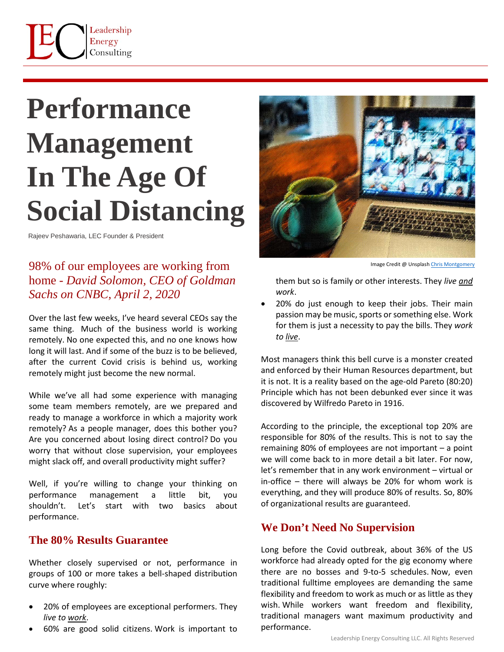# **Performance Management In The Age Of Social Distancing**

Rajeev Peshawaria, LEC Founder & President

# 98% of our employees are working from home - *David Solomon, CEO of Goldman Sachs on CNBC, April 2, 2020*

Over the last few weeks, I've heard several CEOs say the same thing. Much of the business world is working remotely. No one expected this, and no one knows how long it will last. And if some of the buzz is to be believed, after the current Covid crisis is behind us, working remotely might just become the new normal.

While we've all had some experience with managing some team members remotely, are we prepared and ready to manage a workforce in which a majority work remotely? As a people manager, does this bother you? Are you concerned about losing direct control? Do you worry that without close supervision, your employees might slack off, and overall productivity might suffer?

Well, if you're willing to change your thinking on performance management a little bit, you shouldn't. Let's start with two basics about performance.

#### **The 80% Results Guarantee**

Whether closely supervised or not, performance in groups of 100 or more takes a bell-shaped distribution curve where roughly:

- 20% of employees are exceptional performers. They *live to work*.
- 60% are good solid citizens. Work is important to



Image Credit @ Unsplash Chris Montgome

them but so is family or other interests. They *live and work*.

• 20% do just enough to keep their jobs. Their main passion may be music, sports or something else. Work for them is just a necessity to pay the bills. They *work to live*.

Most managers think this bell curve is a monster created and enforced by their Human Resources department, but it is not. It is a reality based on the age-old Pareto (80:20) Principle which has not been debunked ever since it was discovered by Wilfredo Pareto in 1916.

According to the principle, the exceptional top 20% are responsible for 80% of the results. This is not to say the remaining 80% of employees are not important – a point we will come back to in more detail a bit later. For now, let's remember that in any work environment – virtual or in-office – there will always be 20% for whom work is everything, and they will produce 80% of results. So, 80% of organizational results are guaranteed.

### **We Don't Need No Supervision**

Long before the Covid outbreak, about 36% of the US workforce had already opted for the gig economy where there are no bosses and 9-to-5 schedules. Now, even traditional fulltime employees are demanding the same flexibility and freedom to work as much or as little as they wish. While workers want freedom and flexibility, traditional managers want maximum productivity and performance.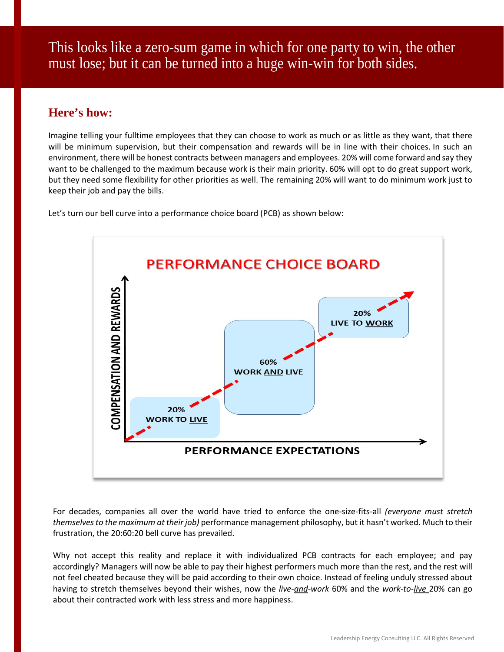This looks like a zero-sum game in which for one party to win, the other must lose; but it can be turned into a huge win-win for both sides.

## **Here's how:**

Imagine telling your fulltime employees that they can choose to work as much or as little as they want, that there will be minimum supervision, but their compensation and rewards will be in line with their choices. In such an environment, there will be honest contracts between managers and employees. 20% will come forward and say they want to be challenged to the maximum because work is their main priority. 60% will opt to do great support work, but they need some flexibility for other priorities as well. The remaining 20% will want to do minimum work just to keep their job and pay the bills.

Let's turn our bell curve into a performance choice board (PCB) as shown below:



For decades, companies all over the world have tried to enforce the one-size-fits-all *(everyone must stretch themselves to the maximum at their job)* performance management philosophy, but it hasn't worked. Much to their frustration, the 20:60:20 bell curve has prevailed.

Why not accept this reality and replace it with individualized PCB contracts for each employee; and pay accordingly? Managers will now be able to pay their highest performers much more than the rest, and the rest will not feel cheated because they will be paid according to their own choice. Instead of feeling unduly stressed about having to stretch themselves beyond their wishes, now the *live-and-work* 60% and the *work-to-live* 20% can go about their contracted work with less stress and more happiness.